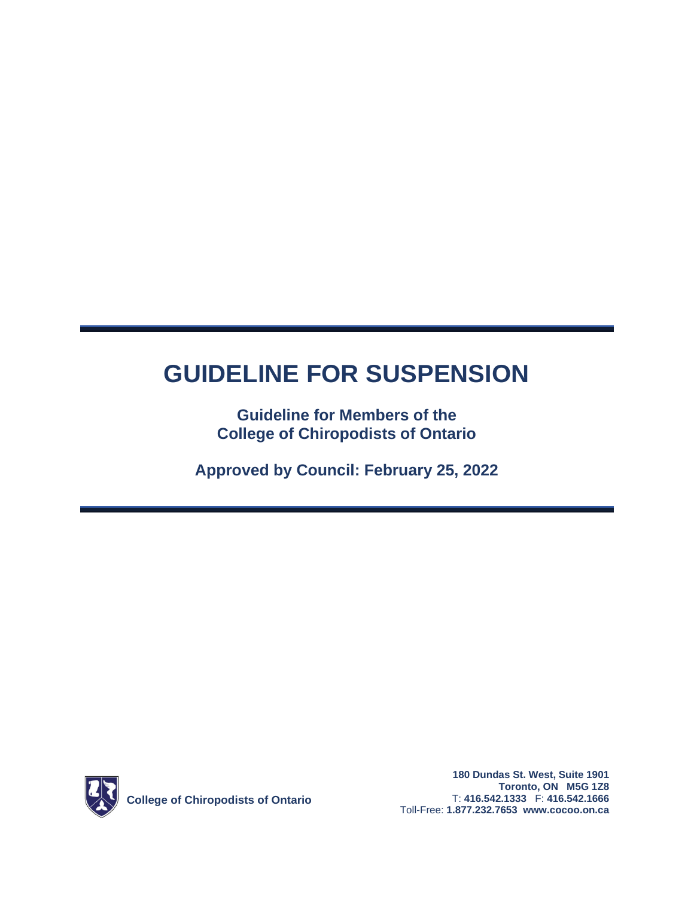# **GUIDELINE FOR SUSPENSION**

**Guideline for Members of the College of Chiropodists of Ontario**

**Approved by Council: February 25, 2022**

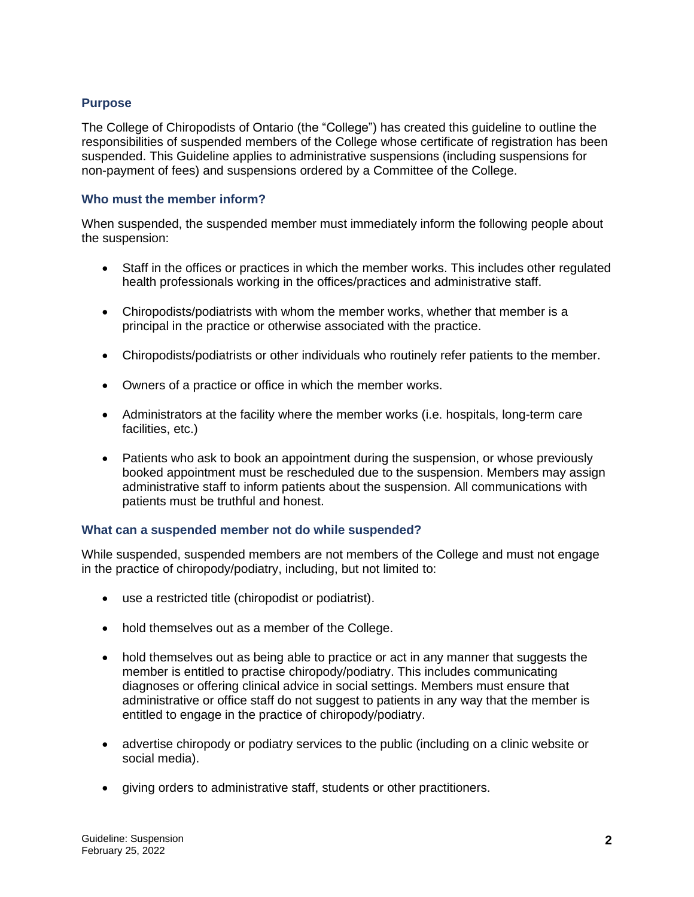## **Purpose**

The College of Chiropodists of Ontario (the "College") has created this guideline to outline the responsibilities of suspended members of the College whose certificate of registration has been suspended. This Guideline applies to administrative suspensions (including suspensions for non-payment of fees) and suspensions ordered by a Committee of the College.

### **Who must the member inform?**

When suspended, the suspended member must immediately inform the following people about the suspension:

- Staff in the offices or practices in which the member works. This includes other regulated health professionals working in the offices/practices and administrative staff.
- Chiropodists/podiatrists with whom the member works, whether that member is a principal in the practice or otherwise associated with the practice.
- Chiropodists/podiatrists or other individuals who routinely refer patients to the member.
- Owners of a practice or office in which the member works.
- Administrators at the facility where the member works (i.e. hospitals, long-term care facilities, etc.)
- Patients who ask to book an appointment during the suspension, or whose previously booked appointment must be rescheduled due to the suspension. Members may assign administrative staff to inform patients about the suspension. All communications with patients must be truthful and honest.

#### **What can a suspended member not do while suspended?**

While suspended, suspended members are not members of the College and must not engage in the practice of chiropody/podiatry, including, but not limited to:

- use a restricted title (chiropodist or podiatrist).
- hold themselves out as a member of the College.
- hold themselves out as being able to practice or act in any manner that suggests the member is entitled to practise chiropody/podiatry. This includes communicating diagnoses or offering clinical advice in social settings. Members must ensure that administrative or office staff do not suggest to patients in any way that the member is entitled to engage in the practice of chiropody/podiatry.
- advertise chiropody or podiatry services to the public (including on a clinic website or social media).
- giving orders to administrative staff, students or other practitioners.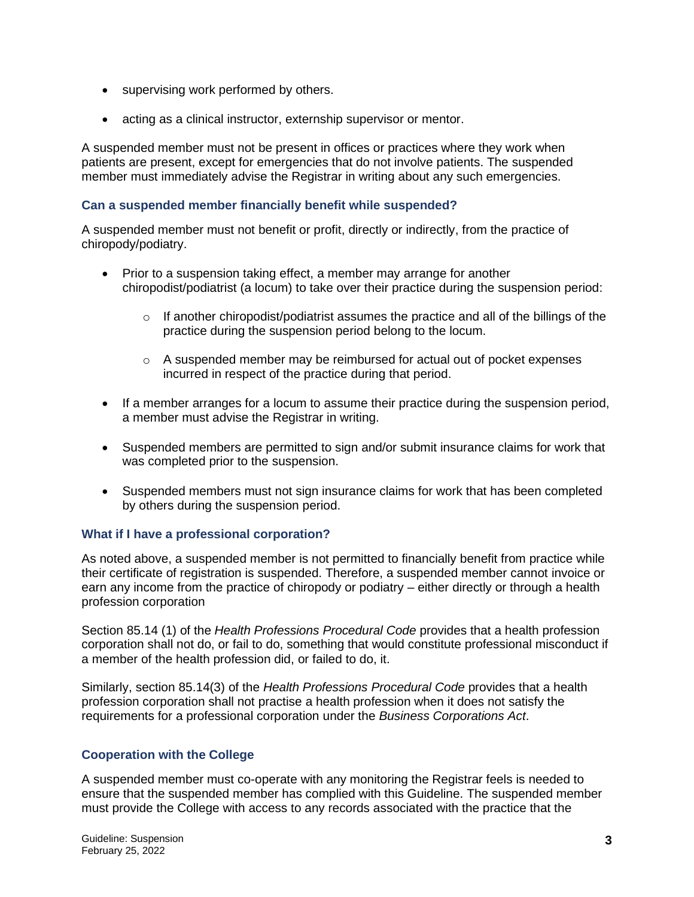- supervising work performed by others.
- acting as a clinical instructor, externship supervisor or mentor.

A suspended member must not be present in offices or practices where they work when patients are present, except for emergencies that do not involve patients. The suspended member must immediately advise the Registrar in writing about any such emergencies.

## **Can a suspended member financially benefit while suspended?**

A suspended member must not benefit or profit, directly or indirectly, from the practice of chiropody/podiatry.

- Prior to a suspension taking effect, a member may arrange for another chiropodist/podiatrist (a locum) to take over their practice during the suspension period:
	- $\circ$  If another chiropodist/podiatrist assumes the practice and all of the billings of the practice during the suspension period belong to the locum.
	- $\circ$  A suspended member may be reimbursed for actual out of pocket expenses incurred in respect of the practice during that period.
- If a member arranges for a locum to assume their practice during the suspension period, a member must advise the Registrar in writing.
- Suspended members are permitted to sign and/or submit insurance claims for work that was completed prior to the suspension.
- Suspended members must not sign insurance claims for work that has been completed by others during the suspension period.

## **What if I have a professional corporation?**

As noted above, a suspended member is not permitted to financially benefit from practice while their certificate of registration is suspended. Therefore, a suspended member cannot invoice or earn any income from the practice of chiropody or podiatry – either directly or through a health profession corporation

Section 85.14 (1) of the *Health Professions Procedural Code* provides that a health profession corporation shall not do, or fail to do, something that would constitute professional misconduct if a member of the health profession did, or failed to do, it.

Similarly, section 85.14(3) of the *Health Professions Procedural Code* provides that a health profession corporation shall not practise a health profession when it does not satisfy the requirements for a professional corporation under the *Business Corporations Act*.

## **Cooperation with the College**

A suspended member must co-operate with any monitoring the Registrar feels is needed to ensure that the suspended member has complied with this Guideline. The suspended member must provide the College with access to any records associated with the practice that the